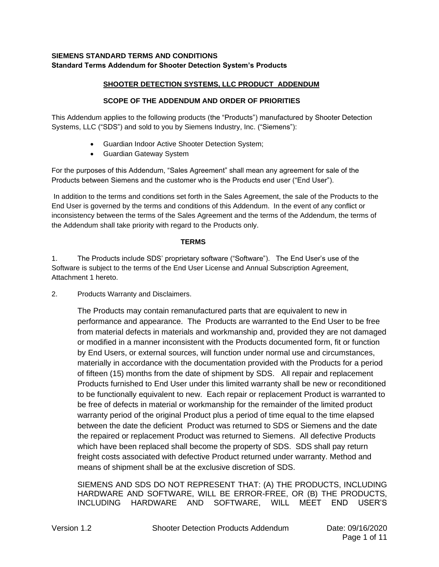# **SIEMENS STANDARD TERMS AND CONDITIONS Standard Terms Addendum for Shooter Detection System's Products**

# **SHOOTER DETECTION SYSTEMS, LLC PRODUCT ADDENDUM**

# **SCOPE OF THE ADDENDUM AND ORDER OF PRIORITIES**

This Addendum applies to the following products (the "Products") manufactured by Shooter Detection Systems, LLC ("SDS") and sold to you by Siemens Industry, Inc. ("Siemens"):

- Guardian Indoor Active Shooter Detection System;
- Guardian Gateway System

For the purposes of this Addendum, "Sales Agreement" shall mean any agreement for sale of the Products between Siemens and the customer who is the Products end user ("End User").

In addition to the terms and conditions set forth in the Sales Agreement, the sale of the Products to the End User is governed by the terms and conditions of this Addendum. In the event of any conflict or inconsistency between the terms of the Sales Agreement and the terms of the Addendum, the terms of the Addendum shall take priority with regard to the Products only.

## **TERMS**

1. The Products include SDS' proprietary software ("Software"). The End User's use of the Software is subject to the terms of the End User License and Annual Subscription Agreement, Attachment 1 hereto.

2. Products Warranty and Disclaimers.

The Products may contain remanufactured parts that are equivalent to new in performance and appearance. The Products are warranted to the End User to be free from material defects in materials and workmanship and, provided they are not damaged or modified in a manner inconsistent with the Products documented form, fit or function by End Users, or external sources, will function under normal use and circumstances, materially in accordance with the documentation provided with the Products for a period of fifteen (15) months from the date of shipment by SDS. All repair and replacement Products furnished to End User under this limited warranty shall be new or reconditioned to be functionally equivalent to new. Each repair or replacement Product is warranted to be free of defects in material or workmanship for the remainder of the limited product warranty period of the original Product plus a period of time equal to the time elapsed between the date the deficient Product was returned to SDS or Siemens and the date the repaired or replacement Product was returned to Siemens. All defective Products which have been replaced shall become the property of SDS. SDS shall pay return freight costs associated with defective Product returned under warranty. Method and means of shipment shall be at the exclusive discretion of SDS.

SIEMENS AND SDS DO NOT REPRESENT THAT: (A) THE PRODUCTS, INCLUDING HARDWARE AND SOFTWARE, WILL BE ERROR-FREE, OR (B) THE PRODUCTS, INCLUDING HARDWARE AND SOFTWARE, WILL MEET END USER'S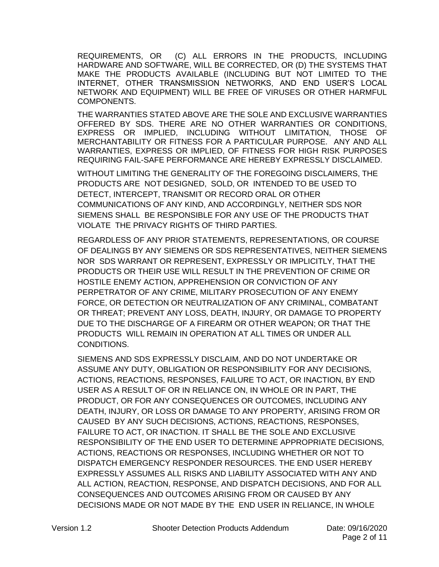REQUIREMENTS, OR (C) ALL ERRORS IN THE PRODUCTS, INCLUDING HARDWARE AND SOFTWARE, WILL BE CORRECTED, OR (D) THE SYSTEMS THAT MAKE THE PRODUCTS AVAILABLE (INCLUDING BUT NOT LIMITED TO THE INTERNET, OTHER TRANSMISSION NETWORKS, AND END USER'S LOCAL NETWORK AND EQUIPMENT) WILL BE FREE OF VIRUSES OR OTHER HARMFUL COMPONENTS.

THE WARRANTIES STATED ABOVE ARE THE SOLE AND EXCLUSIVE WARRANTIES OFFERED BY SDS. THERE ARE NO OTHER WARRANTIES OR CONDITIONS, EXPRESS OR IMPLIED, INCLUDING WITHOUT LIMITATION, THOSE OF MERCHANTABILITY OR FITNESS FOR A PARTICULAR PURPOSE. ANY AND ALL WARRANTIES, EXPRESS OR IMPLIED, OF FITNESS FOR HIGH RISK PURPOSES REQUIRING FAIL-SAFE PERFORMANCE ARE HEREBY EXPRESSLY DISCLAIMED.

WITHOUT LIMITING THE GENERALITY OF THE FOREGOING DISCLAIMERS, THE PRODUCTS ARE NOT DESIGNED, SOLD, OR INTENDED TO BE USED TO DETECT, INTERCEPT, TRANSMIT OR RECORD ORAL OR OTHER COMMUNICATIONS OF ANY KIND, AND ACCORDINGLY, NEITHER SDS NOR SIEMENS SHALL BE RESPONSIBLE FOR ANY USE OF THE PRODUCTS THAT VIOLATE THE PRIVACY RIGHTS OF THIRD PARTIES.

REGARDLESS OF ANY PRIOR STATEMENTS, REPRESENTATIONS, OR COURSE OF DEALINGS BY ANY SIEMENS OR SDS REPRESENTATIVES, NEITHER SIEMENS NOR SDS WARRANT OR REPRESENT, EXPRESSLY OR IMPLICITLY, THAT THE PRODUCTS OR THEIR USE WILL RESULT IN THE PREVENTION OF CRIME OR HOSTILE ENEMY ACTION, APPREHENSION OR CONVICTION OF ANY PERPETRATOR OF ANY CRIME, MILITARY PROSECUTION OF ANY ENEMY FORCE, OR DETECTION OR NEUTRALIZATION OF ANY CRIMINAL, COMBATANT OR THREAT; PREVENT ANY LOSS, DEATH, INJURY, OR DAMAGE TO PROPERTY DUE TO THE DISCHARGE OF A FIREARM OR OTHER WEAPON; OR THAT THE PRODUCTS WILL REMAIN IN OPERATION AT ALL TIMES OR UNDER ALL CONDITIONS.

SIEMENS AND SDS EXPRESSLY DISCLAIM, AND DO NOT UNDERTAKE OR ASSUME ANY DUTY, OBLIGATION OR RESPONSIBILITY FOR ANY DECISIONS, ACTIONS, REACTIONS, RESPONSES, FAILURE TO ACT, OR INACTION, BY END USER AS A RESULT OF OR IN RELIANCE ON, IN WHOLE OR IN PART, THE PRODUCT, OR FOR ANY CONSEQUENCES OR OUTCOMES, INCLUDING ANY DEATH, INJURY, OR LOSS OR DAMAGE TO ANY PROPERTY, ARISING FROM OR CAUSED BY ANY SUCH DECISIONS, ACTIONS, REACTIONS, RESPONSES, FAILURE TO ACT, OR INACTION. IT SHALL BE THE SOLE AND EXCLUSIVE RESPONSIBILITY OF THE END USER TO DETERMINE APPROPRIATE DECISIONS, ACTIONS, REACTIONS OR RESPONSES, INCLUDING WHETHER OR NOT TO DISPATCH EMERGENCY RESPONDER RESOURCES. THE END USER HEREBY EXPRESSLY ASSUMES ALL RISKS AND LIABILITY ASSOCIATED WITH ANY AND ALL ACTION, REACTION, RESPONSE, AND DISPATCH DECISIONS, AND FOR ALL CONSEQUENCES AND OUTCOMES ARISING FROM OR CAUSED BY ANY DECISIONS MADE OR NOT MADE BY THE END USER IN RELIANCE, IN WHOLE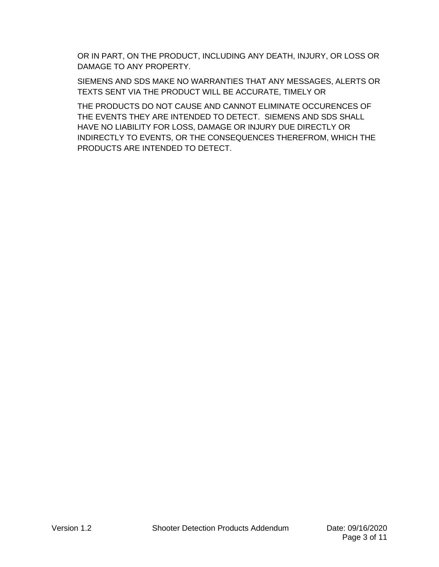OR IN PART, ON THE PRODUCT, INCLUDING ANY DEATH, INJURY, OR LOSS OR DAMAGE TO ANY PROPERTY.

SIEMENS AND SDS MAKE NO WARRANTIES THAT ANY MESSAGES, ALERTS OR TEXTS SENT VIA THE PRODUCT WILL BE ACCURATE, TIMELY OR

THE PRODUCTS DO NOT CAUSE AND CANNOT ELIMINATE OCCURENCES OF THE EVENTS THEY ARE INTENDED TO DETECT. SIEMENS AND SDS SHALL HAVE NO LIABILITY FOR LOSS, DAMAGE OR INJURY DUE DIRECTLY OR INDIRECTLY TO EVENTS, OR THE CONSEQUENCES THEREFROM, WHICH THE PRODUCTS ARE INTENDED TO DETECT.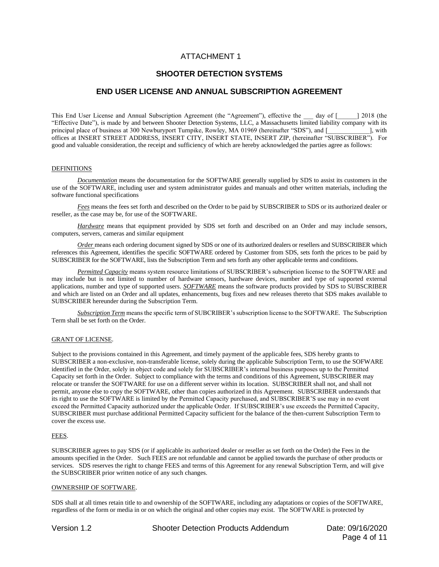# ATTACHMENT 1

## **SHOOTER DETECTION SYSTEMS**

## **END USER LICENSE AND ANNUAL SUBSCRIPTION AGREEMENT**

This End User License and Annual Subscription Agreement (the "Agreement"), effective the day of [2018 (the "Effective Date"), is made by and between Shooter Detection Systems, LLC, a Massachusetts limited liability company with its principal place of business at 300 Newburyport Turnpike, Rowley, MA 01969 (hereinafter "SDS"), and [  $\qquad \qquad$  ], with offices at INSERT STREET ADDRESS, INSERT CITY, INSERT STATE, INSERT ZIP, (hereinafter "SUBSCRIBER"). For good and valuable consideration, the receipt and sufficiency of which are hereby acknowledged the parties agree as follows:

#### DEFINITIONS

*Documentation* means the documentation for the SOFTWARE generally supplied by SDS to assist its customers in the use of the SOFTWARE, including user and system administrator guides and manuals and other written materials, including the software functional specifications

*Fees* means the fees set forth and described on the Order to be paid by SUBSCRIBER to SDS or its authorized dealer or reseller, as the case may be, for use of the SOFTWARE.

*Hardware* means that equipment provided by SDS set forth and described on an Order and may include sensors, computers, servers, cameras and similar equipment

*Order* means each ordering document signed by SDS or one of its authorized dealers or resellers and SUBSCRIBER which references this Agreement, identifies the specific SOFTWARE ordered by Customer from SDS, sets forth the prices to be paid by SUBSCRIBER for the SOFTWARE, lists the Subscription Term and sets forth any other applicable terms and conditions.

*Permitted Capacity* means system resource limitations of SUBSCRIBER's subscription license to the SOFTWARE and may include but is not limited to number of hardware sensors, hardware devices, number and type of supported external applications, number and type of supported users. *SOFTWARE* means the software products provided by SDS to SUBSCRIBER and which are listed on an Order and all updates, enhancements, bug fixes and new releases thereto that SDS makes available to SUBSCRIBER hereunder during the Subscription Term.

*Subscription Term* means the specific term of SUBCRIBER's subscription license to the SOFTWARE. The Subscription Term shall be set forth on the Order.

#### GRANT OF LICENSE.

Subject to the provisions contained in this Agreement, and timely payment of the applicable fees, SDS hereby grants to SUBSCRIBER a non-exclusive, non-transferable license, solely during the applicable Subscription Term, to use the SOFWARE identified in the Order, solely in object code and solely for SUBSCRIBER's internal business purposes up to the Permitted Capacity set forth in the Order. Subject to compliance with the terms and conditions of this Agreement, SUBSCRIBER may relocate or transfer the SOFTWARE for use on a different server within its location. SUBSCRIBER shall not, and shall not permit, anyone else to copy the SOFTWARE, other than copies authorized in this Agreement. SUBSCRIBER understands that its right to use the SOFTWARE is limited by the Permitted Capacity purchased, and SUBSCRIBER'S use may in no event exceed the Permitted Capacity authorized under the applicable Order. If SUBSCRIBER's use exceeds the Permitted Capacity, SUBSCRIBER must purchase additional Permitted Capacity sufficient for the balance of the then-current Subscription Term to cover the excess use.

#### FEES.

SUBSCRIBER agrees to pay SDS (or if applicable its authorized dealer or reseller as set forth on the Order) the Fees in the amounts specified in the Order. Such FEES are not refundable and cannot be applied towards the purchase of other products or services. SDS reserves the right to change FEES and terms of this Agreement for any renewal Subscription Term, and will give the SUBSCRIBER prior written notice of any such changes.

#### OWNERSHIP OF SOFTWARE.

SDS shall at all times retain title to and ownership of the SOFTWARE, including any adaptations or copies of the SOFTWARE, regardless of the form or media in or on which the original and other copies may exist. The SOFTWARE is protected by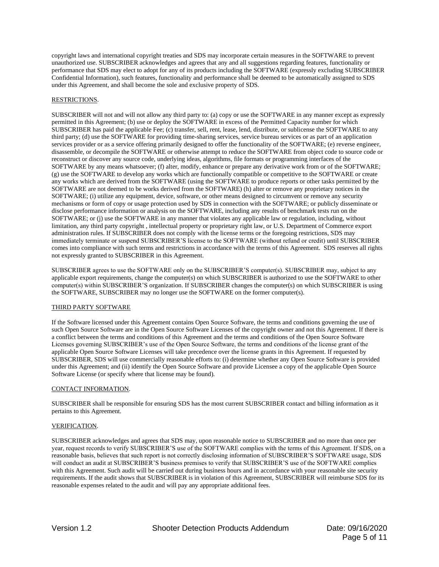copyright laws and international copyright treaties and SDS may incorporate certain measures in the SOFTWARE to prevent unauthorized use. SUBSCRIBER acknowledges and agrees that any and all suggestions regarding features, functionality or performance that SDS may elect to adopt for any of its products including the SOFTWARE (expressly excluding SUBSCRIBER Confidential Information), such features, functionality and performance shall be deemed to be automatically assigned to SDS under this Agreement, and shall become the sole and exclusive property of SDS.

## RESTRICTIONS.

SUBSCRIBER will not and will not allow any third party to: (a) copy or use the SOFTWARE in any manner except as expressly permitted in this Agreement; (b) use or deploy the SOFTWARE in excess of the Permitted Capacity number for which SUBSCRIBER has paid the applicable Fee; (c) transfer, sell, rent, lease, lend, distribute, or sublicense the SOFTWARE to any third party; (d) use the SOFTWARE for providing time-sharing services, service bureau services or as part of an application services provider or as a service offering primarily designed to offer the functionality of the SOFTWARE; (e) reverse engineer, disassemble, or decompile the SOFTWARE or otherwise attempt to reduce the SOFTWARE from object code to source code or reconstruct or discover any source code, underlying ideas, algorithms, file formats or programming interfaces of the SOFTWARE by any means whatsoever; (f) alter, modify, enhance or prepare any derivative work from or of the SOFTWARE; (g) use the SOFTWARE to develop any works which are functionally compatible or competitive to the SOFTWARE or create any works which are derived from the SOFTWARE (using the SOFTWARE to produce reports or other tasks permitted by the SOFTWARE are not deemed to be works derived from the SOFTWARE) (h) alter or remove any proprietary notices in the SOFTWARE; (i) utilize any equipment, device, software, or other means designed to circumvent or remove any security mechanisms or form of copy or usage protection used by SDS in connection with the SOFTWARE; or publicly disseminate or disclose performance information or analysis on the SOFTWARE, including any results of benchmark tests run on the SOFTWARE; or (j) use the SOFTWARE in any manner that violates any applicable law or regulation, including, without limitation, any third party copyright , intellectual property or proprietary right law, or U.S. Department of Commerce export administration rules. If SUBSCRIBER does not comply with the license terms or the foregoing restrictions, SDS may immediately terminate or suspend SUBSCRIBER'S license to the SOFTWARE (without refund or credit) until SUBSCRIBER comes into compliance with such terms and restrictions in accordance with the terms of this Agreement. SDS reserves all rights not expressly granted to SUBSCRIBER in this Agreement.

SUBSCRIBER agrees to use the SOFTWARE only on the SUBSCRIBER'S computer(s). SUBSCRIBER may, subject to any applicable export requirements, change the computer(s) on which SUBSCRIBER is authorized to use the SOFTWARE to other computer(s) within SUBSCRIBER'S organization. If SUBSCRIBER changes the computer(s) on which SUBSCRIBER is using the SOFTWARE, SUBSCRIBER may no longer use the SOFTWARE on the former computer(s).

## THIRD PARTY SOFTWARE

If the Software licensed under this Agreement contains Open Source Software, the terms and conditions governing the use of such Open Source Software are in the Open Source Software Licenses of the copyright owner and not this Agreement. If there is a conflict between the terms and conditions of this Agreement and the terms and conditions of the Open Source Software Licenses governing SUBSCRIBER's use of the Open Source Software, the terms and conditions of the license grant of the applicable Open Source Software Licenses will take precedence over the license grants in this Agreement. If requested by SUBSCRIBER, SDS will use commercially reasonable efforts to: (i) determine whether any Open Source Software is provided under this Agreement; and (ii) identify the Open Source Software and provide Licensee a copy of the applicable Open Source Software License (or specify where that license may be found).

#### CONTACT INFORMATION.

SUBSCRIBER shall be responsible for ensuring SDS has the most current SUBSCRIBER contact and billing information as it pertains to this Agreement.

#### VERIFICATION.

SUBSCRIBER acknowledges and agrees that SDS may, upon reasonable notice to SUBSCRIBER and no more than once per year, request records to verify SUBSCRIBER'S use of the SOFTWARE complies with the terms of this Agreement. If SDS, on a reasonable basis, believes that such report is not correctly disclosing information of SUBSCRIBER'S SOFTWARE usage, SDS will conduct an audit at SUBSCRIBER'S business premises to verify that SUBSCRIBER'S use of the SOFTWARE complies with this Agreement. Such audit will be carried out during business hours and in accordance with your reasonable site security requirements. If the audit shows that SUBSCRIBER is in violation of this Agreement, SUBSCRIBER will reimburse SDS for its reasonable expenses related to the audit and will pay any appropriate additional fees.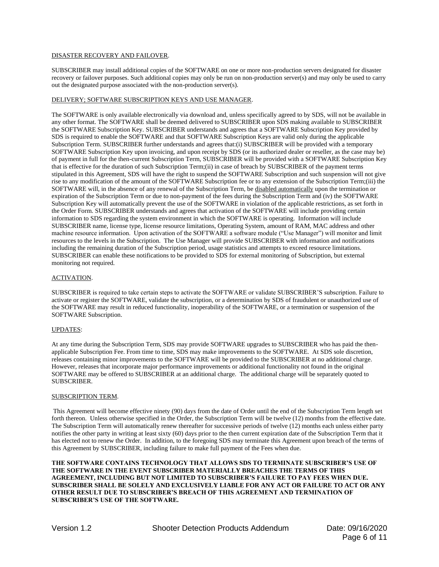#### DISASTER RECOVERY AND FAILOVER.

SUBSCRIBER may install additional copies of the SOFTWARE on one or more non-production servers designated for disaster recovery or failover purposes. Such additional copies may only be run on non-production server(s) and may only be used to carry out the designated purpose associated with the non-production server(s).

#### DELIVERY; SOFTWARE SUBSCRIPTION KEYS AND USE MANAGER.

The SOFTWARE is only available electronically via download and, unless specifically agreed to by SDS, will not be available in any other format. The SOFTWARE shall be deemed delivered to SUBSCRIBER upon SDS making available to SUBSCRIBER the SOFTWARE Subscription Key. SUBSCRIBER understands and agrees that a SOFTWARE Subscription Key provided by SDS is required to enable the SOFTWARE and that SOFTWARE Subscription Keys are valid only during the applicable Subscription Term. SUBSCRIBER further understands and agrees that:(i) SUBSCRIBER will be provided with a temporary SOFTWARE Subscription Key upon invoicing, and upon receipt by SDS (or its authorized dealer or reseller, as the case may be) of payment in full for the then-current Subscription Term, SUBSCRIBER will be provided with a SOFTWARE Subscription Key that is effective for the duration of such Subscription Term;(ii) in case of breach by SUBSCRIBER of the payment terms stipulated in this Agreement, SDS will have the right to suspend the SOFTWARE Subscription and such suspension will not give rise to any modification of the amount of the SOFTWARE Subscription fee or to any extension of the Subscription Term;(iii) the SOFTWARE will, in the absence of any renewal of the Subscription Term, be disabled automatically upon the termination or expiration of the Subscription Term or due to non-payment of the fees during the Subscription Term and (iv) the SOFTWARE Subscription Key will automatically prevent the use of the SOFTWARE in violation of the applicable restrictions, as set forth in the Order Form. SUBSCRIBER understands and agrees that activation of the SOFTWARE will include providing certain information to SDS regarding the system environment in which the SOFTWARE is operating. Information will include SUBSCRIBER name, license type, license resource limitations, Operating System, amount of RAM, MAC address and other machine resource information. Upon activation of the SOFTWARE a software module ("Use Manager") will monitor and limit resources to the levels in the Subscription. The Use Manager will provide SUBSCRIBER with information and notifications including the remaining duration of the Subscription period, usage statistics and attempts to exceed resource limitations. SUBSCRIBER can enable these notifications to be provided to SDS for external monitoring of Subscription, but external monitoring not required.

#### ACTIVATION.

SUBSCRIBER is required to take certain steps to activate the SOFTWARE or validate SUBSCRIBER'S subscription. Failure to activate or register the SOFTWARE, validate the subscription, or a determination by SDS of fraudulent or unauthorized use of the SOFTWARE may result in reduced functionality, inoperability of the SOFTWARE, or a termination or suspension of the SOFTWARE Subscription.

#### UPDATES:

At any time during the Subscription Term, SDS may provide SOFTWARE upgrades to SUBSCRIBER who has paid the thenapplicable Subscription Fee. From time to time, SDS may make improvements to the SOFTWARE. At SDS sole discretion, releases containing minor improvements to the SOFTWARE will be provided to the SUBSCRIBER at no additional charge. However, releases that incorporate major performance improvements or additional functionality not found in the original SOFTWARE may be offered to SUBSCRIBER at an additional charge. The additional charge will be separately quoted to SUBSCRIBER.

#### SUBSCRIPTION TERM.

This Agreement will become effective ninety (90) days from the date of Order until the end of the Subscription Term length set forth thereon. Unless otherwise specified in the Order, the Subscription Term will be twelve (12) months from the effective date. The Subscription Term will automatically renew thereafter for successive periods of twelve (12) months each unless either party notifies the other party in writing at least sixty (60) days prior to the then current expiration date of the Subscription Term that it has elected not to renew the Order. In addition, to the foregoing SDS may terminate this Agreement upon breach of the terms of this Agreement by SUBSCRIBER, including failure to make full payment of the Fees when due.

**THE SOFTWARE CONTAINS TECHNOLOGY THAT ALLOWS SDS TO TERMINATE SUBSCRIBER'S USE OF THE SOFTWARE IN THE EVENT SUBSCRIBER MATERIALLY BREACHES THE TERMS OF THIS AGREEMENT, INCLUDING BUT NOT LIMITED TO SUBSCRIBER'S FAILURE TO PAY FEES WHEN DUE. SUBSCRIBER SHALL BE SOLELY AND EXCLUSIVELY LIABLE FOR ANY ACT OR FAILURE TO ACT OR ANY OTHER RESULT DUE TO SUBSCRIBER'S BREACH OF THIS AGREEMENT AND TERMINATION OF SUBSCRIBER'S USE OF THE SOFTWARE.**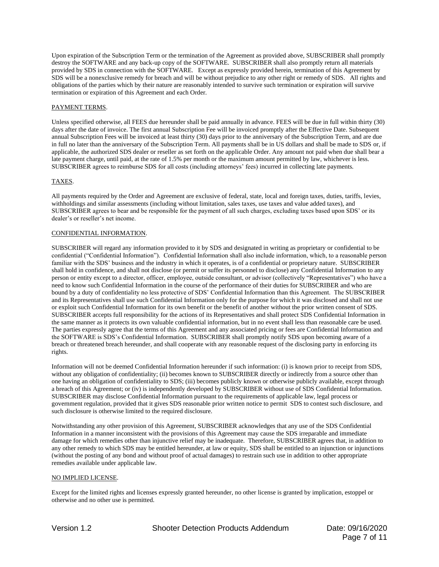Upon expiration of the Subscription Term or the termination of the Agreement as provided above, SUBSCRIBER shall promptly destroy the SOFTWARE and any back-up copy of the SOFTWARE. SUBSCRIBER shall also promptly return all materials provided by SDS in connection with the SOFTWARE. Except as expressly provided herein, termination of this Agreement by SDS will be a nonexclusive remedy for breach and will be without prejudice to any other right or remedy of SDS. All rights and obligations of the parties which by their nature are reasonably intended to survive such termination or expiration will survive termination or expiration of this Agreement and each Order.

## PAYMENT TERMS.

Unless specified otherwise, all FEES due hereunder shall be paid annually in advance. FEES will be due in full within thirty (30) days after the date of invoice. The first annual Subscription Fee will be invoiced promptly after the Effective Date. Subsequent annual Subscription Fees will be invoiced at least thirty (30) days prior to the anniversary of the Subscription Term, and are due in full no later than the anniversary of the Subscription Term. All payments shall be in US dollars and shall be made to SDS or, if applicable, the authorized SDS dealer or reseller as set forth on the applicable Order. Any amount not paid when due shall bear a late payment charge, until paid, at the rate of 1.5% per month or the maximum amount permitted by law, whichever is less. SUBSCRIBER agrees to reimburse SDS for all costs (including attorneys' fees) incurred in collecting late payments.

## TAXES.

All payments required by the Order and Agreement are exclusive of federal, state, local and foreign taxes, duties, tariffs, levies, withholdings and similar assessments (including without limitation, sales taxes, use taxes and value added taxes), and SUBSCRIBER agrees to bear and be responsible for the payment of all such charges, excluding taxes based upon SDS' or its dealer's or reseller's net income.

## CONFIDENTIAL INFORMATION.

SUBSCRIBER will regard any information provided to it by SDS and designated in writing as proprietary or confidential to be confidential ("Confidential Information"). Confidential Information shall also include information, which, to a reasonable person familiar with the SDS' business and the industry in which it operates, is of a confidential or proprietary nature. SUBSCRIBER shall hold in confidence, and shall not disclose (or permit or suffer its personnel to disclose) any Confidential Information to any person or entity except to a director, officer, employee, outside consultant, or advisor (collectively "Representatives") who have a need to know such Confidential Information in the course of the performance of their duties for SUBSCRIBER and who are bound by a duty of confidentiality no less protective of SDS' Confidential Information than this Agreement. The SUBSCRIBER and its Representatives shall use such Confidential Information only for the purpose for which it was disclosed and shall not use or exploit such Confidential Information for its own benefit or the benefit of another without the prior written consent of SDS. SUBSCRIBER accepts full responsibility for the actions of its Representatives and shall protect SDS Confidential Information in the same manner as it protects its own valuable confidential information, but in no event shall less than reasonable care be used. The parties expressly agree that the terms of this Agreement and any associated pricing or fees are Confidential Information and the SOFTWARE is SDS's Confidential Information. SUBSCRIBER shall promptly notify SDS upon becoming aware of a breach or threatened breach hereunder, and shall cooperate with any reasonable request of the disclosing party in enforcing its rights.

Information will not be deemed Confidential Information hereunder if such information: (i) is known prior to receipt from SDS, without any obligation of confidentiality; (ii) becomes known to SUBSCRIBER directly or indirectly from a source other than one having an obligation of confidentiality to SDS; (iii) becomes publicly known or otherwise publicly available, except through a breach of this Agreement; or (iv) is independently developed by SUBSCRIBER without use of SDS Confidential Information. SUBSCRIBER may disclose Confidential Information pursuant to the requirements of applicable law, legal process or government regulation, provided that it gives SDS reasonable prior written notice to permit SDS to contest such disclosure, and such disclosure is otherwise limited to the required disclosure.

Notwithstanding any other provision of this Agreement, SUBSCRIBER acknowledges that any use of the SDS Confidential Information in a manner inconsistent with the provisions of this Agreement may cause the SDS irreparable and immediate damage for which remedies other than injunctive relief may be inadequate. Therefore, SUBSCRIBER agrees that, in addition to any other remedy to which SDS may be entitled hereunder, at law or equity, SDS shall be entitled to an injunction or injunctions (without the posting of any bond and without proof of actual damages) to restrain such use in addition to other appropriate remedies available under applicable law.

## NO IMPLIED LICENSE.

Except for the limited rights and licenses expressly granted hereunder, no other license is granted by implication, estoppel or otherwise and no other use is permitted.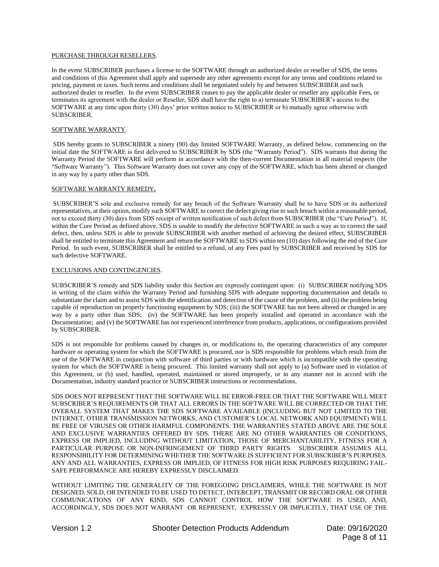#### PURCHASE THROUGH RESELLERS.

In the event SUBSCRIBER purchases a license to the SOFTWARE through an authorized dealer or reseller of SDS, the terms and conditions of this Agreement shall apply and supersede any other agreements except for any terms and conditions related to pricing, payment or taxes. Such terms and conditions shall be negotiated solely by and between SUBSCRIBER and such authorized dealer or reseller. In the event SUBSCRIBER ceases to pay the applicable dealer or reseller any applicable Fees, or terminates its agreement with the dealer or Reseller, SDS shall have the right to a) terminate SUBSCRIBER's access to the SOFTWARE at any time upon thirty (30) days' prior written notice to SUBSCRIBER or b) mutually agree otherwise with SUBSCRIBER.

## SOFTWARE WARRANTY.

SDS hereby grants to SUBSCRIBER a ninety (90) day limited SOFTWARE Warranty, as defined below, commencing on the initial date the SOFTWARE is first delivered to SUBSCRIBER by SDS (the "Warranty Period"). SDS warrants that during the Warranty Period the SOFTWARE will perform in accordance with the then-current Documentation in all material respects (the "Software Warranty"). This Software Warranty does not cover any copy of the SOFTWARE, which has been altered or changed in any way by a party other than SDS.

## SOFTWARE WARRANTY REMEDY*.*

SUBSCRIBER'S sole and exclusive remedy for any breach of the Software Warranty shall be to have SDS or its authorized representatives, at their option, modify such SOFTWARE to correct the defect giving rise to such breach within a reasonable period, not to exceed thirty (30) days from SDS receipt of written notification of such defect from SUBSCRIBER (the "Cure Period"). If, within the Cure Period as defined above, SDS is unable to modify the defective SOFTWARE in such a way as to correct the said defect, then, unless SDS is able to provide SUBSCRIBER with another method of achieving the desired effect, SUBSCRIBER shall be entitled to terminate this Agreement and return the SOFTWARE to SDS within ten (10) days following the end of the Cure Period. In such event, SUBSCRIBER shall be entitled to a refund, of any Fees paid by SUBSCRIBER and received by SDS for such defective SOFTWARE.

#### EXCLUSIONS AND CONTINGENCIES.

SUBSCRIBER'S remedy and SDS liability under this Section are expressly contingent upon: (i) SUBSCRIBER notifying SDS in writing of the claim within the Warranty Period and furnishing SDS with adequate supporting documentation and details to substantiate the claim and to assist SDS with the identification and detection of the cause of the problem, and (ii) the problem being capable of reproduction on properly functioning equipment by SDS; (iii) the SOFTWARE has not been altered or changed in any way by a party other than SDS; (iv) the SOFTWARE has been properly installed and operated in accordance with the Documentation; and (v) the SOFTWARE has not experienced interference from products, applications, or configurations provided by SUBSCRIBER.

SDS is not responsible for problems caused by changes in, or modifications to, the operating characteristics of any computer hardware or operating system for which the SOFTWARE is procured, nor is SDS responsible for problems which result from the use of the SOFTWARE in conjunction with software of third parties or with hardware which is incompatible with the operating system for which the SOFTWARE is being procured. This limited warranty shall not apply to (a) Software used in violation of this Agreement, or (b) used, handled, operated, maintained or stored improperly, or in any manner not in accord with the Documentation, industry standard practice or SUBSCRIBER instructions or recommendations.

SDS DOES NOT REPRESENT THAT THE SOFTWARE WILL BE ERROR-FREE OR THAT THE SOFTWARE WILL MEET SUBSCRIBER'S REQUIREMENTS OR THAT ALL ERRORS IN THE SOFTWARE WILL BE CORRECTED OR THAT THE OVERALL SYSTEM THAT MAKES THE SDS SOFTWARE AVAILABLE (INCLUDING BUT NOT LIMITED TO THE INTERNET, OTHER TRANSMISSION NETWORKS, AND CUSTOMER'S LOCAL NETWORK AND EQUIPMENT) WILL BE FREE OF VIRUSES OR OTHER HARMFUL COMPONENTS. THE WARRANTIES STATED ABOVE ARE THE SOLE AND EXCLUSIVE WARRANTIES OFFERED BY SDS. THERE ARE NO OTHER WARRANTIES OR CONDITIONS, EXPRESS OR IMPLIED, INCLUDING WITHOUT LIMITATION, THOSE OF MERCHANTABILITY, FITNESS FOR A PARTICULAR PURPOSE OR NON-INFRINGEMENT OF THIRD PARTY RIGHTS. SUBSCRIBER ASSUMES ALL RESPONSIBILITY FOR DETERMINING WHETHER THE SOFTWARE IS SUFFICIENT FOR SUBSCRIBER'S PURPOSES. ANY AND ALL WARRANTIES, EXPRESS OR IMPLIED, OF FITNESS FOR HIGH RISK PURPOSES REQUIRING FAIL-SAFE PERFORMANCE ARE HEREBY EXPRESSLY DISCLAIMED.

WITHOUT LIMITING THE GENERALITY OF THE FOREGOING DISCLAIMERS, WHILE THE SOFTWARE IS NOT DESIGNED, SOLD, OR INTENDED TO BE USED TO DETECT, INTERCEPT, TRANSMIT OR RECORD ORAL OR OTHER COMMUNICATIONS OF ANY KIND, SDS CANNOT CONTROL HOW THE SOFTWARE IS USED, AND, ACCORDINGLY, SDS DOES NOT WARRANT OR REPRESENT, EXPRESSLY OR IMPLICITLY, THAT USE OF THE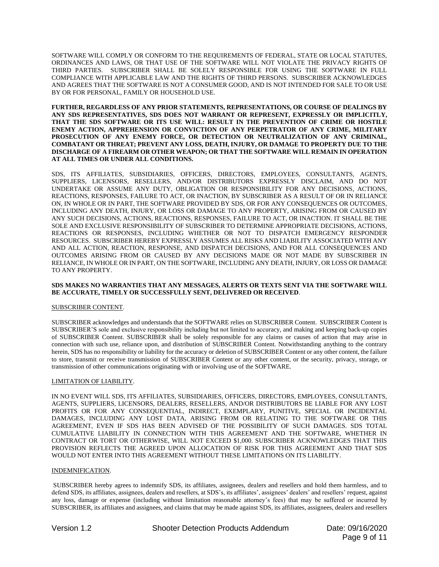SOFTWARE WILL COMPLY OR CONFORM TO THE REQUIREMENTS OF FEDERAL, STATE OR LOCAL STATUTES, ORDINANCES AND LAWS, OR THAT USE OF THE SOFTWARE WILL NOT VIOLATE THE PRIVACY RIGHTS OF THIRD PARTIES. SUBSCRIBER SHALL BE SOLELY RESPONSIBLE FOR USING THE SOFTWARE IN FULL COMPLIANCE WITH APPLICABLE LAW AND THE RIGHTS OF THIRD PERSONS. SUBSCRIBER ACKNOWLEDGES AND AGREES THAT THE SOFTWARE IS NOT A CONSUMER GOOD, AND IS NOT INTENDED FOR SALE TO OR USE BY OR FOR PERSONAL, FAMILY OR HOUSEHOLD USE.

#### **FURTHER, REGARDLESS OF ANY PRIOR STATEMENTS, REPRESENTATIONS, OR COURSE OF DEALINGS BY ANY SDS REPRESENTATIVES, SDS DOES NOT WARRANT OR REPRESENT, EXPRESSLY OR IMPLICITLY, THAT THE SDS SOFTWARE OR ITS USE WILL: RESULT IN THE PREVENTION OF CRIME OR HOSTILE ENEMY ACTION, APPREHENSION OR CONVICTION OF ANY PERPETRATOR OF ANY CRIME, MILITARY PROSECUTION OF ANY ENEMY FORCE, OR DETECTION OR NEUTRALIZATION OF ANY CRIMINAL, COMBATANT OR THREAT; PREVENT ANY LOSS, DEATH, INJURY, OR DAMAGE TO PROPERTY DUE TO THE DISCHARGE OF A FIREARM OR OTHER WEAPON; OR THAT THE SOFTWARE WILL REMAIN IN OPERATION AT ALL TIMES OR UNDER ALL CONDITIONS.**

SDS, ITS AFFILIATES, SUBSIDIARIES, OFFICERS, DIRECTORS, EMPLOYEES, CONSULTANTS, AGENTS, SUPPLIERS, LICENSORS, RESELLERS, AND/OR DISTRIBUTORS EXPRESSLY DISCLAIM, AND DO NOT UNDERTAKE OR ASSUME ANY DUTY, OBLIGATION OR RESPONSIBILITY FOR ANY DECISIONS, ACTIONS, REACTIONS, RESPONSES, FAILURE TO ACT, OR INACTION, BY SUBSCRIBER AS A RESULT OF OR IN RELIANCE ON, IN WHOLE OR IN PART, THE SOFTWARE PROVIDED BY SDS, OR FOR ANY CONSEQUENCES OR OUTCOMES, INCLUDING ANY DEATH, INJURY, OR LOSS OR DAMAGE TO ANY PROPERTY, ARISING FROM OR CAUSED BY ANY SUCH DECISIONS, ACTIONS, REACTIONS, RESPONSES, FAILURE TO ACT, OR INACTION. IT SHALL BE THE SOLE AND EXCLUSIVE RESPONSIBILITY OF SUBSCRIBER TO DETERMINE APPROPRIATE DECISIONS, ACTIONS, REACTIONS OR RESPONSES, INCLUDING WHETHER OR NOT TO DISPATCH EMERGENCY RESPONDER RESOURCES. SUBSCRIBER HEREBY EXPRESSLY ASSUMES ALL RISKS AND LIABILITY ASSOCIATED WITH ANY AND ALL ACTION, REACTION, RESPONSE, AND DISPATCH DECISIONS, AND FOR ALL CONSEQUENCES AND OUTCOMES ARISING FROM OR CAUSED BY ANY DECISIONS MADE OR NOT MADE BY SUBSCRIBER IN RELIANCE, IN WHOLE OR IN PART, ON THE SOFTWARE, INCLUDING ANY DEATH, INJURY, OR LOSS OR DAMAGE TO ANY PROPERTY.

## **SDS MAKES NO WARRANTIES THAT ANY MESSAGES, ALERTS OR TEXTS SENT VIA THE SOFTWARE WILL BE ACCURATE, TIMELY OR SUCCESSFULLY SENT, DELIVERED OR RECEIVED**.

## SUBSCRIBER CONTENT.

SUBSCRIBER acknowledges and understands that the SOFTWARE relies on SUBSCRIBER Content. SUBSCRIBER Content is SUBSCRIBER'S sole and exclusive responsibility including but not limited to accuracy, and making and keeping back-up copies of SUBSCRIBER Content. SUBSCRIBER shall be solely responsible for any claims or causes of action that may arise in connection with such use, reliance upon, and distribution of SUBSCRIBER Content. Notwithstanding anything to the contrary herein, SDS has no responsibility or liability for the accuracy or deletion of SUBSCRIBER Content or any other content, the failure to store, transmit or receive transmission of SUBSCRIBER Content or any other content, or the security, privacy, storage, or transmission of other communications originating with or involving use of the SOFTWARE.

## LIMITATION OF LIABILITY.

IN NO EVENT WILL SDS, ITS AFFILIATES, SUBSIDIARIES, OFFICERS, DIRECTORS, EMPLOYEES, CONSULTANTS, AGENTS, SUPPLIERS, LICENSORS, DEALERS, RESELLERS, AND/OR DISTRIBUTORS BE LIABLE FOR ANY LOST PROFITS OR FOR ANY CONSEQUENTIAL, INDIRECT, EXEMPLARY, PUNITIVE, SPECIAL OR INCIDENTAL DAMAGES, INCLUDING ANY LOST DATA, ARISING FROM OR RELATING TO THE SOFTWARE OR THIS AGREEMENT, EVEN IF SDS HAS BEEN ADVISED OF THE POSSIBILITY OF SUCH DAMAGES. SDS TOTAL CUMULATIVE LIABILITY IN CONNECTION WITH THIS AGREEMENT AND THE SOFTWARE, WHETHER IN CONTRACT OR TORT OR OTHERWISE, WILL NOT EXCEED \$1,000. SUBSCRIBER ACKNOWLEDGES THAT THIS PROVISION REFLECTS THE AGREED UPON ALLOCATION OF RISK FOR THIS AGREEMENT AND THAT SDS WOULD NOT ENTER INTO THIS AGREEMENT WITHOUT THESE LIMITATIONS ON ITS LIABILITY.

## INDEMNIFICATION.

SUBSCRIBER hereby agrees to indemnify SDS, its affiliates, assignees, dealers and resellers and hold them harmless, and to defend SDS, its affiliates, assignees, dealers and resellers, at SDS's, its affiliates', assignees' dealers' and resellers' request, against any loss, damage or expense (including without limitation reasonable attorney's fees) that may be suffered or incurred by SUBSCRIBER, its affiliates and assignees, and claims that may be made against SDS, its affiliates, assignees, dealers and resellers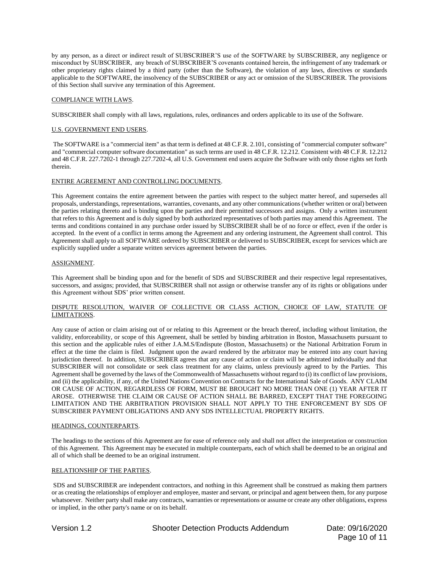by any person, as a direct or indirect result of SUBSCRIBER'S use of the SOFTWARE by SUBSCRIBER, any negligence or misconduct by SUBSCRIBER, any breach of SUBSCRIBER'S covenants contained herein, the infringement of any trademark or other proprietary rights claimed by a third party (other than the Software), the violation of any laws, directives or standards applicable to the SOFTWARE, the insolvency of the SUBSCRIBER or any act or omission of the SUBSCRIBER. The provisions of this Section shall survive any termination of this Agreement.

### COMPLIANCE WITH LAWS.

SUBSCRIBER shall comply with all laws, regulations, rules, ordinances and orders applicable to its use of the Software.

## U.S. GOVERNMENT END USERS.

The SOFTWARE is a "commercial item" as that term is defined at 48 C.F.R. 2.101, consisting of "commercial computer software" and "commercial computer software documentation" as such terms are used in 48 C.F.R. 12.212. Consistent with 48 C.F.R. 12.212 and 48 C.F.R. 227.7202-1 through 227.7202-4, all U.S. Government end users acquire the Software with only those rights set forth therein.

## ENTIRE AGREEMENT AND CONTROLLING DOCUMENTS.

This Agreement contains the entire agreement between the parties with respect to the subject matter hereof, and supersedes all proposals, understandings, representations, warranties, covenants, and any other communications (whether written or oral) between the parties relating thereto and is binding upon the parties and their permitted successors and assigns. Only a written instrument that refers to this Agreement and is duly signed by both authorized representatives of both parties may amend this Agreement. The terms and conditions contained in any purchase order issued by SUBSCRIBER shall be of no force or effect, even if the order is accepted. In the event of a conflict in terms among the Agreement and any ordering instrument, the Agreement shall control. This Agreement shall apply to all SOFTWARE ordered by SUBSCRIBER or delivered to SUBSCRIBER, except for services which are explicitly supplied under a separate written services agreement between the parties.

#### ASSIGNMENT.

This Agreement shall be binding upon and for the benefit of SDS and SUBSCRIBER and their respective legal representatives, successors, and assigns; provided, that SUBSCRIBER shall not assign or otherwise transfer any of its rights or obligations under this Agreement without SDS' prior written consent.

## DISPUTE RESOLUTION, WAIVER OF COLLECTIVE OR CLASS ACTION, CHOICE OF LAW, STATUTE OF LIMITATIONS.

Any cause of action or claim arising out of or relating to this Agreement or the breach thereof, including without limitation, the validity, enforceability, or scope of this Agreement, shall be settled by binding arbitration in Boston, Massachusetts pursuant to this section and the applicable rules of either J.A.M.S/Endispute (Boston, Massachusetts) or the National Arbitration Forum in effect at the time the claim is filed. Judgment upon the award rendered by the arbitrator may be entered into any court having jurisdiction thereof. In addition, SUBSCRIBER agrees that any cause of action or claim will be arbitrated individually and that SUBSCRIBER will not consolidate or seek class treatment for any claims, unless previously agreed to by the Parties. This Agreement shall be governed by the laws of the Commonwealth of Massachusetts without regard to (i) its conflict of law provisions, and (ii) the applicability, if any, of the United Nations Convention on Contracts for the International Sale of Goods. ANY CLAIM OR CAUSE OF ACTION, REGARDLESS OF FORM, MUST BE BROUGHT NO MORE THAN ONE (1) YEAR AFTER IT AROSE. OTHERWISE THE CLAIM OR CAUSE OF ACTION SHALL BE BARRED, EXCEPT THAT THE FOREGOING LIMITATION AND THE ARBITRATION PROVISION SHALL NOT APPLY TO THE ENFORCEMENT BY SDS OF SUBSCRIBER PAYMENT OBLIGATIONS AND ANY SDS INTELLECTUAL PROPERTY RIGHTS.

#### HEADINGS, COUNTERPARTS.

The headings to the sections of this Agreement are for ease of reference only and shall not affect the interpretation or construction of this Agreement. This Agreement may be executed in multiple counterparts, each of which shall be deemed to be an original and all of which shall be deemed to be an original instrument.

## RELATIONSHIP OF THE PARTIES.

SDS and SUBSCRIBER are independent contractors, and nothing in this Agreement shall be construed as making them partners or as creating the relationships of employer and employee, master and servant, or principal and agent between them, for any purpose whatsoever. Neither party shall make any contracts, warranties or representations or assume or create any other obligations, express or implied, in the other party's name or on its behalf.